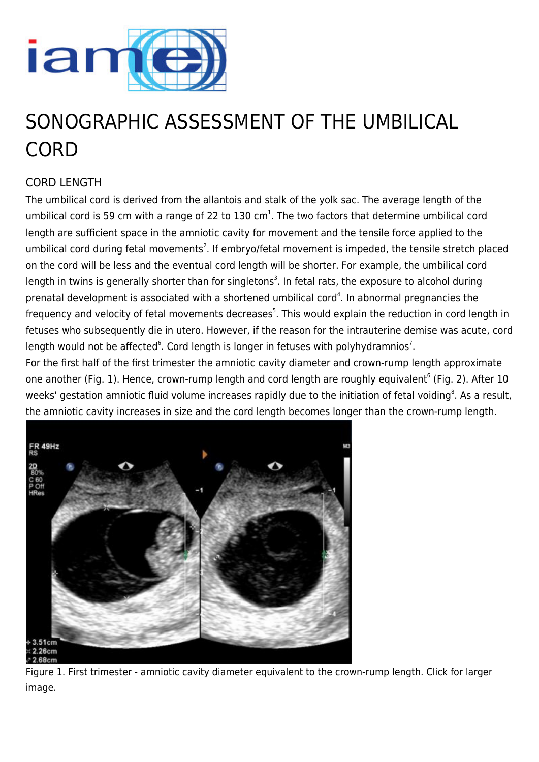

# SONOGRAPHIC ASSESSMENT OF THE UMBILICAL **CORD**

# CORD LENGTH

The umbilical cord is derived from the allantois and stalk of the yolk sac. The average length of the umbilical cord is 59 cm with a range of 22 to 130 cm<sup>1</sup>. The two factors that determine umbilical cord length are sufficient space in the amniotic cavity for movement and the tensile force applied to the umbilical cord during fetal movements<sup>2</sup>. If embryo/fetal movement is impeded, the tensile stretch placed on the cord will be less and the eventual cord length will be shorter. For example, the umbilical cord length in twins is generally shorter than for singletons<sup>3</sup>. In fetal rats, the exposure to alcohol during prenatal development is associated with a shortened umbilical cord<sup>4</sup>. In abnormal pregnancies the frequency and velocity of fetal movements decreases<sup>5</sup>. This would explain the reduction in cord length in fetuses who subsequently die in utero. However, if the reason for the intrauterine demise was acute, cord length would not be affected $^{\circ}$ . Cord length is longer in fetuses with polyhydramnios<sup>7</sup>.

For the first half of the first trimester the amniotic cavity diameter and crown-rump length approximate one another (Fig. 1). Hence, crown-rump length and cord length are roughly equivalent<sup>6</sup> (Fig. 2). After 10 weeks' gestation amniotic fluid volume increases rapidly due to the initiation of fetal voiding<sup>8</sup>. As a result, the amniotic cavity increases in size and the cord length becomes longer than the crown-rump length.



Figure 1. First trimester - amniotic cavity diameter equivalent to the crown-rump length. Click for larger image.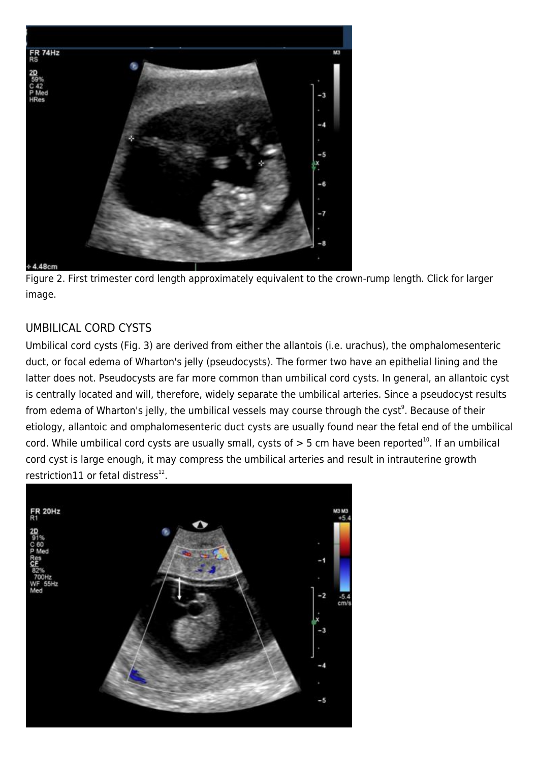

Figure 2. First trimester cord length approximately equivalent to the crown-rump length. Click for larger image.

## UMBILICAL CORD CYSTS

Umbilical cord cysts (Fig. 3) are derived from either the allantois (i.e. urachus), the omphalomesenteric duct, or focal edema of Wharton's jelly (pseudocysts). The former two have an epithelial lining and the latter does not. Pseudocysts are far more common than umbilical cord cysts. In general, an allantoic cyst is centrally located and will, therefore, widely separate the umbilical arteries. Since a pseudocyst results from edema of Wharton's jelly, the umbilical vessels may course through the cyst<sup>9</sup>. Because of their etiology, allantoic and omphalomesenteric duct cysts are usually found near the fetal end of the umbilical cord. While umbilical cord cysts are usually small, cysts of  $> 5$  cm have been reported<sup>10</sup>. If an umbilical cord cyst is large enough, it may compress the umbilical arteries and result in intrauterine growth restriction11 or fetal distress $^{12}$ .

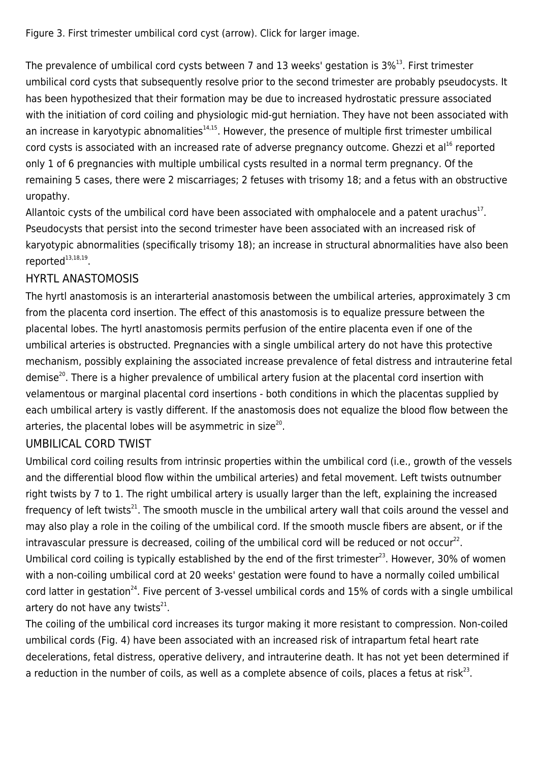Figure 3. First trimester umbilical cord cyst (arrow). Click for larger image.

The prevalence of umbilical cord cysts between 7 and 13 weeks' gestation is  $3\%^{13}$ . First trimester umbilical cord cysts that subsequently resolve prior to the second trimester are probably pseudocysts. It has been hypothesized that their formation may be due to increased hydrostatic pressure associated with the initiation of cord coiling and physiologic mid-gut herniation. They have not been associated with an increase in karyotypic abnomalities<sup>14,15</sup>. However, the presence of multiple first trimester umbilical cord cysts is associated with an increased rate of adverse pregnancy outcome. Ghezzi et al<sup>16</sup> reported only 1 of 6 pregnancies with multiple umbilical cysts resulted in a normal term pregnancy. Of the remaining 5 cases, there were 2 miscarriages; 2 fetuses with trisomy 18; and a fetus with an obstructive uropathy.

Allantoic cysts of the umbilical cord have been associated with omphalocele and a patent urachus $^{17}$ . Pseudocysts that persist into the second trimester have been associated with an increased risk of karyotypic abnormalities (specifically trisomy 18); an increase in structural abnormalities have also been reported $^{13,18,19}.$ 

### HYRTL ANASTOMOSIS

The hyrtl anastomosis is an interarterial anastomosis between the umbilical arteries, approximately 3 cm from the placenta cord insertion. The effect of this anastomosis is to equalize pressure between the placental lobes. The hyrtl anastomosis permits perfusion of the entire placenta even if one of the umbilical arteries is obstructed. Pregnancies with a single umbilical artery do not have this protective mechanism, possibly explaining the associated increase prevalence of fetal distress and intrauterine fetal demise<sup>20</sup>. There is a higher prevalence of umbilical artery fusion at the placental cord insertion with velamentous or marginal placental cord insertions - both conditions in which the placentas supplied by each umbilical artery is vastly different. If the anastomosis does not equalize the blood flow between the arteries, the placental lobes will be asymmetric in size<sup>20</sup>.

### UMBILICAL CORD TWIST

Umbilical cord coiling results from intrinsic properties within the umbilical cord (i.e., growth of the vessels and the differential blood flow within the umbilical arteries) and fetal movement. Left twists outnumber right twists by 7 to 1. The right umbilical artery is usually larger than the left, explaining the increased frequency of left twists<sup>21</sup>. The smooth muscle in the umbilical artery wall that coils around the vessel and may also play a role in the coiling of the umbilical cord. If the smooth muscle fibers are absent, or if the intravascular pressure is decreased, coiling of the umbilical cord will be reduced or not occur<sup>22</sup>. Umbilical cord coiling is typically established by the end of the first trimester<sup>23</sup>. However, 30% of women with a non-coiling umbilical cord at 20 weeks' gestation were found to have a normally coiled umbilical cord latter in gestation<sup>24</sup>. Five percent of 3-vessel umbilical cords and 15% of cords with a single umbilical artery do not have any twists $^{21}$ .

The coiling of the umbilical cord increases its turgor making it more resistant to compression. Non-coiled umbilical cords (Fig. 4) have been associated with an increased risk of intrapartum fetal heart rate decelerations, fetal distress, operative delivery, and intrauterine death. It has not yet been determined if a reduction in the number of coils, as well as a complete absence of coils, places a fetus at risk<sup>23</sup>.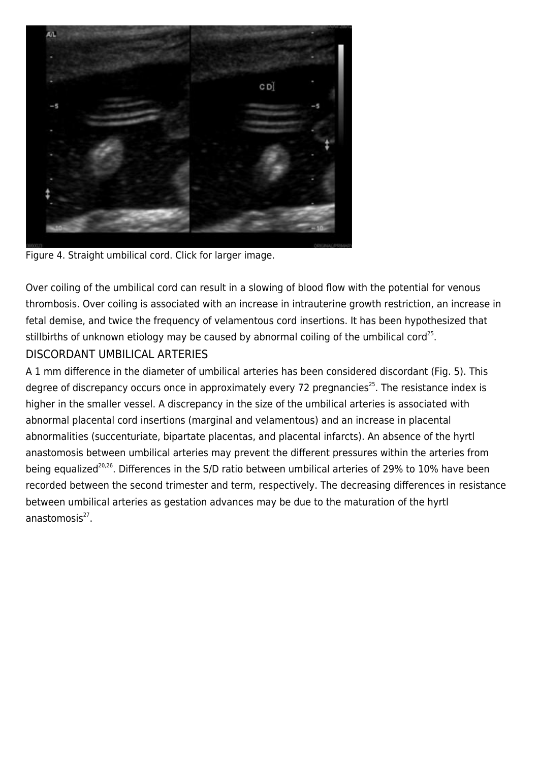

Figure 4. Straight umbilical cord. Click for larger image.

Over coiling of the umbilical cord can result in a slowing of blood flow with the potential for venous thrombosis. Over coiling is associated with an increase in intrauterine growth restriction, an increase in fetal demise, and twice the frequency of velamentous cord insertions. It has been hypothesized that stillbirths of unknown etiology may be caused by abnormal coiling of the umbilical cord<sup>25</sup>.

### DISCORDANT UMBILICAL ARTERIES

A 1 mm difference in the diameter of umbilical arteries has been considered discordant (Fig. 5). This degree of discrepancy occurs once in approximately every 72 pregnancies<sup>25</sup>. The resistance index is higher in the smaller vessel. A discrepancy in the size of the umbilical arteries is associated with abnormal placental cord insertions (marginal and velamentous) and an increase in placental abnormalities (succenturiate, bipartate placentas, and placental infarcts). An absence of the hyrtl anastomosis between umbilical arteries may prevent the different pressures within the arteries from being equalized<sup>20,26</sup>. Differences in the S/D ratio between umbilical arteries of 29% to 10% have been recorded between the second trimester and term, respectively. The decreasing differences in resistance between umbilical arteries as gestation advances may be due to the maturation of the hyrtl anastomosis<sup>27</sup>.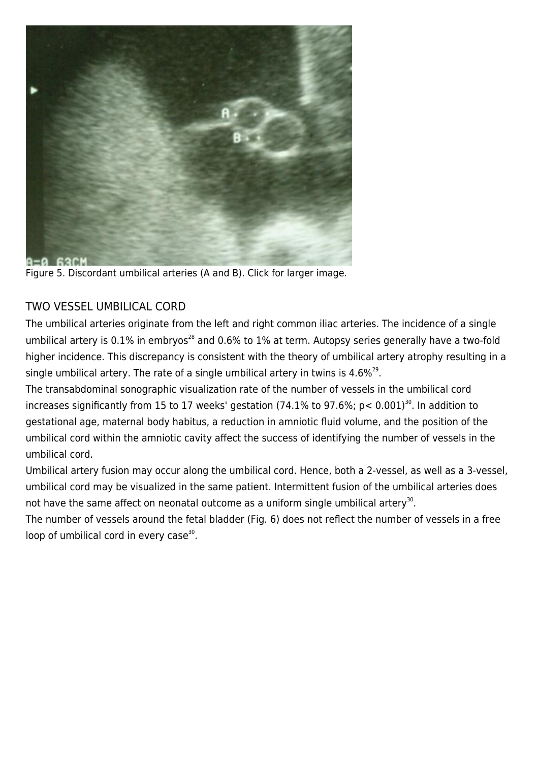

Figure 5. Discordant umbilical arteries (A and B). Click for larger image.

### TWO VESSEL UMBILICAL CORD

The umbilical arteries originate from the left and right common iliac arteries. The incidence of a single umbilical artery is 0.1% in embryos<sup>28</sup> and 0.6% to 1% at term. Autopsy series generally have a two-fold higher incidence. This discrepancy is consistent with the theory of umbilical artery atrophy resulting in a single umbilical artery. The rate of a single umbilical artery in twins is 4.6% $^{29}$ .

The transabdominal sonographic visualization rate of the number of vessels in the umbilical cord increases significantly from 15 to 17 weeks' gestation (74.1% to 97.6%;  $p < 0.001$ )<sup>30</sup>. In addition to gestational age, maternal body habitus, a reduction in amniotic fluid volume, and the position of the umbilical cord within the amniotic cavity affect the success of identifying the number of vessels in the umbilical cord.

Umbilical artery fusion may occur along the umbilical cord. Hence, both a 2-vessel, as well as a 3-vessel, umbilical cord may be visualized in the same patient. Intermittent fusion of the umbilical arteries does not have the same affect on neonatal outcome as a uniform single umbilical artery<sup>30</sup>.

The number of vessels around the fetal bladder (Fig. 6) does not reflect the number of vessels in a free loop of umbilical cord in every case<sup>30</sup>.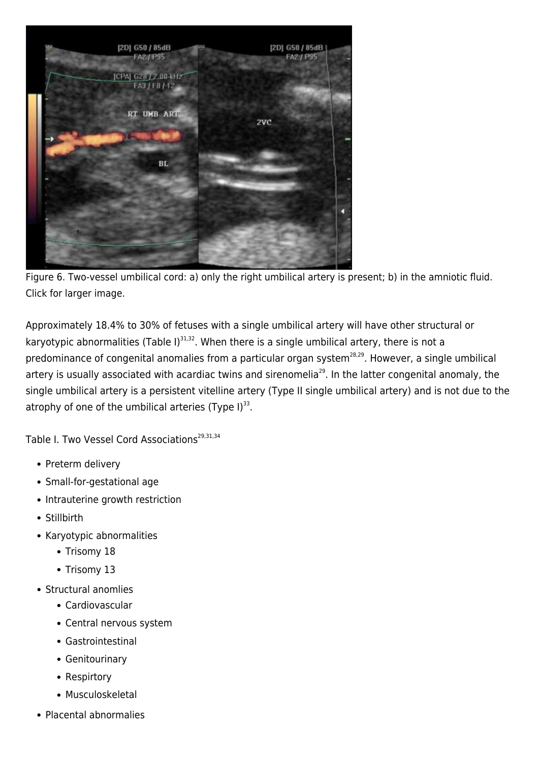

Figure 6. Two-vessel umbilical cord: a) only the right umbilical artery is present; b) in the amniotic fluid. Click for larger image.

Approximately 18.4% to 30% of fetuses with a single umbilical artery will have other structural or karyotypic abnormalities (Table I) $^{31,32}$ . When there is a single umbilical artery, there is not a predominance of congenital anomalies from a particular organ system<sup>28,29</sup>. However, a single umbilical artery is usually associated with acardiac twins and sirenomelia<sup>29</sup>. In the latter congenital anomaly, the single umbilical artery is a persistent vitelline artery (Type II single umbilical artery) and is not due to the atrophy of one of the umbilical arteries (Type I) $^{33}$ .

Table I. Two Vessel Cord Associations<sup>29,31,34</sup>

- Preterm delivery
- Small-for-gestational age
- Intrauterine growth restriction
- Stillbirth
- Karyotypic abnormalities
	- Trisomy 18
	- Trisomy 13
- Structural anomlies
	- Cardiovascular
	- Central nervous system
	- Gastrointestinal
	- Genitourinary
	- Respirtory
	- Musculoskeletal
- Placental abnormalies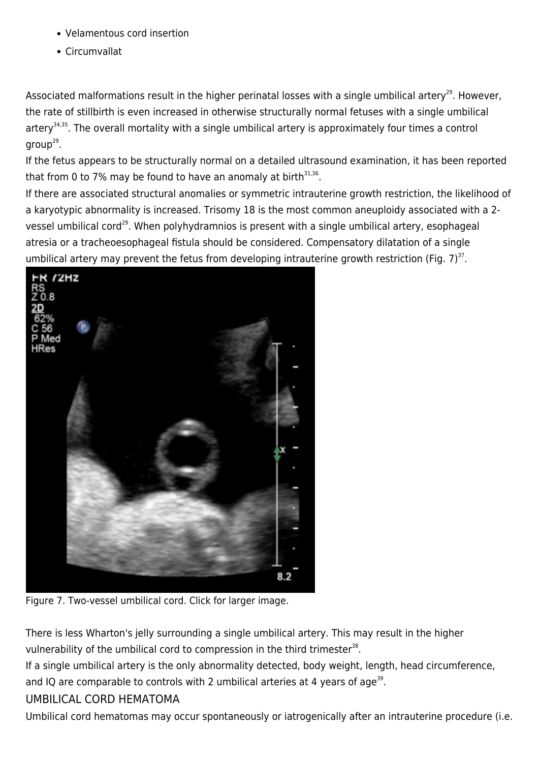- Velamentous cord insertion
- Circumvallat

Associated malformations result in the higher perinatal losses with a single umbilical artery<sup>29</sup>. However, the rate of stillbirth is even increased in otherwise structurally normal fetuses with a single umbilical artery<sup>34,35</sup>. The overall mortality with a single umbilical artery is approximately four times a control group<sup>29</sup>.

If the fetus appears to be structurally normal on a detailed ultrasound examination, it has been reported that from 0 to 7% may be found to have an anomaly at birth $^{31,36}$ .

If there are associated structural anomalies or symmetric intrauterine growth restriction, the likelihood of a karyotypic abnormality is increased. Trisomy 18 is the most common aneuploidy associated with a 2 vessel umbilical cord<sup>29</sup>. When polyhydramnios is present with a single umbilical artery, esophageal atresia or a tracheoesophageal fistula should be considered. Compensatory dilatation of a single umbilical artery may prevent the fetus from developing intrauterine growth restriction (Fig. 7)<sup>37</sup>.



Figure 7. Two-vessel umbilical cord. Click for larger image.

There is less Wharton's jelly surrounding a single umbilical artery. This may result in the higher vulnerability of the umbilical cord to compression in the third trimester $^{38}$ .

If a single umbilical artery is the only abnormality detected, body weight, length, head circumference, and IQ are comparable to controls with 2 umbilical arteries at 4 years of age<sup>39</sup>.

### UMBILICAL CORD HEMATOMA

Umbilical cord hematomas may occur spontaneously or iatrogenically after an intrauterine procedure (i.e.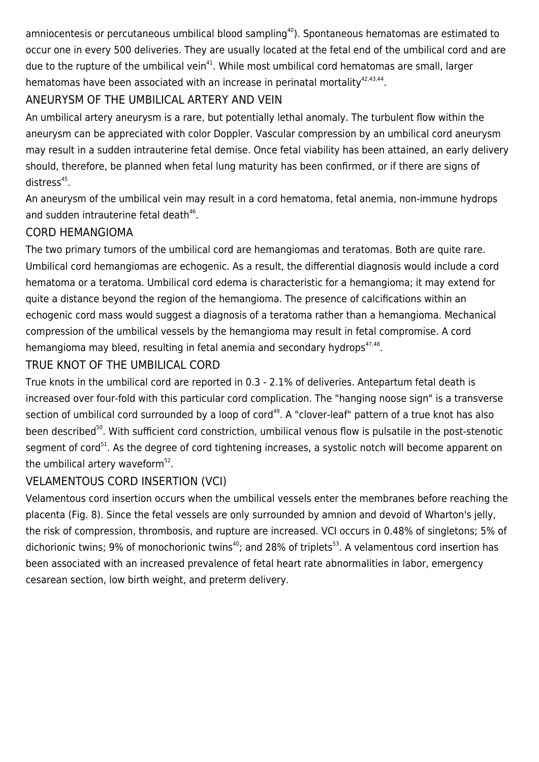amniocentesis or percutaneous umbilical blood sampling<sup>40</sup>). Spontaneous hematomas are estimated to occur one in every 500 deliveries. They are usually located at the fetal end of the umbilical cord and are due to the rupture of the umbilical vein<sup>41</sup>. While most umbilical cord hematomas are small, larger hematomas have been associated with an increase in perinatal mortality $42,43,44$ .

## ANEURYSM OF THE UMBILICAL ARTERY AND VEIN

An umbilical artery aneurysm is a rare, but potentially lethal anomaly. The turbulent flow within the aneurysm can be appreciated with color Doppler. Vascular compression by an umbilical cord aneurysm may result in a sudden intrauterine fetal demise. Once fetal viability has been attained, an early delivery should, therefore, be planned when fetal lung maturity has been confirmed, or if there are signs of distress<sup>45</sup>.

An aneurysm of the umbilical vein may result in a cord hematoma, fetal anemia, non-immune hydrops and sudden intrauterine fetal death<sup>46</sup>.

### CORD HEMANGIOMA

The two primary tumors of the umbilical cord are hemangiomas and teratomas. Both are quite rare. Umbilical cord hemangiomas are echogenic. As a result, the differential diagnosis would include a cord hematoma or a teratoma. Umbilical cord edema is characteristic for a hemangioma; it may extend for quite a distance beyond the region of the hemangioma. The presence of calcifications within an echogenic cord mass would suggest a diagnosis of a teratoma rather than a hemangioma. Mechanical compression of the umbilical vessels by the hemangioma may result in fetal compromise. A cord hemangioma may bleed, resulting in fetal anemia and secondary hydrops<sup>47,48</sup>.

### TRUE KNOT OF THE UMBILICAL CORD

True knots in the umbilical cord are reported in 0.3 - 2.1% of deliveries. Antepartum fetal death is increased over four-fold with this particular cord complication. The "hanging noose sign" is a transverse section of umbilical cord surrounded by a loop of cord<sup>49</sup>. A "clover-leaf" pattern of a true knot has also been described<sup>50</sup>. With sufficient cord constriction, umbilical venous flow is pulsatile in the post-stenotic segment of cord<sup>51</sup>. As the degree of cord tightening increases, a systolic notch will become apparent on the umbilical artery waveform<sup>52</sup>.

## VELAMENTOUS CORD INSERTION (VCI)

Velamentous cord insertion occurs when the umbilical vessels enter the membranes before reaching the placenta (Fig. 8). Since the fetal vessels are only surrounded by amnion and devoid of Wharton's jelly, the risk of compression, thrombosis, and rupture are increased. VCI occurs in 0.48% of singletons; 5% of dichorionic twins; 9% of monochorionic twins<sup>40</sup>; and 28% of triplets<sup>53</sup>. A velamentous cord insertion has been associated with an increased prevalence of fetal heart rate abnormalities in labor, emergency cesarean section, low birth weight, and preterm delivery.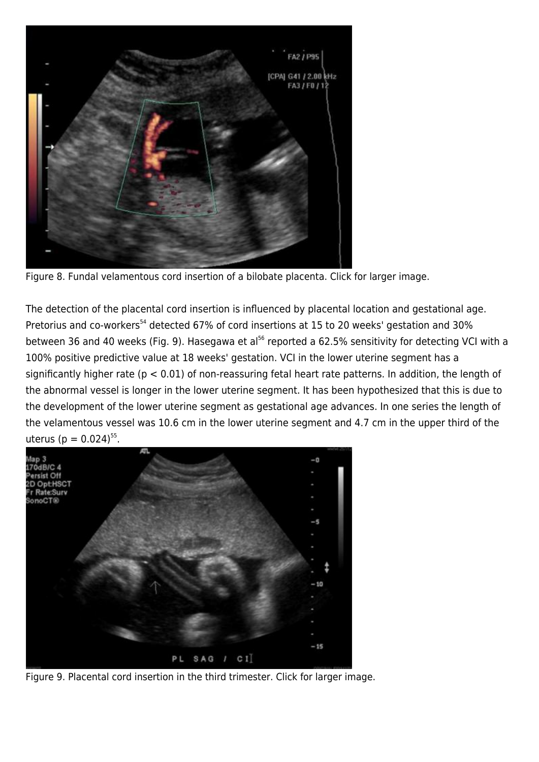

Figure 8. Fundal velamentous cord insertion of a bilobate placenta. Click for larger image.

The detection of the placental cord insertion is influenced by placental location and gestational age. Pretorius and co-workers<sup>54</sup> detected 67% of cord insertions at 15 to 20 weeks' gestation and 30% between 36 and 40 weeks (Fig. 9). Hasegawa et al<sup>56</sup> reported a 62.5% sensitivity for detecting VCI with a 100% positive predictive value at 18 weeks' gestation. VCI in the lower uterine segment has a significantly higher rate ( $p < 0.01$ ) of non-reassuring fetal heart rate patterns. In addition, the length of the abnormal vessel is longer in the lower uterine segment. It has been hypothesized that this is due to the development of the lower uterine segment as gestational age advances. In one series the length of the velamentous vessel was 10.6 cm in the lower uterine segment and 4.7 cm in the upper third of the uterus (p =  $0.024$ )<sup>55</sup>.



Figure 9. Placental cord insertion in the third trimester. Click for larger image.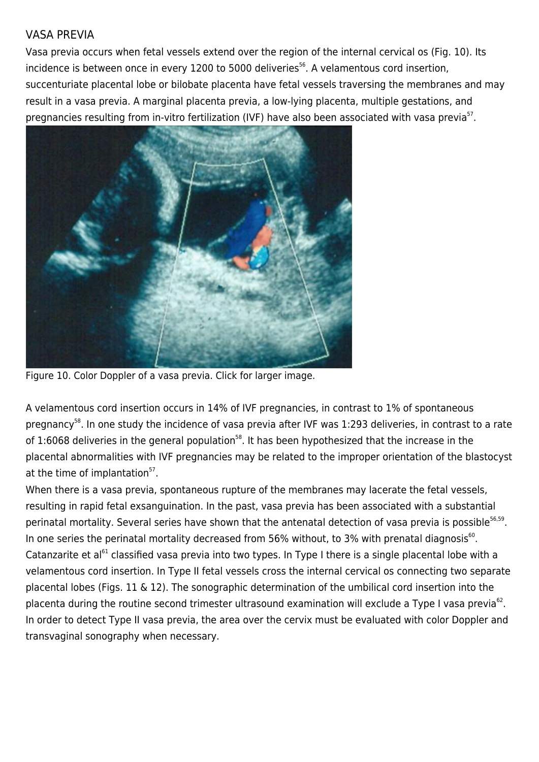#### VASA PREVIA

Vasa previa occurs when fetal vessels extend over the region of the internal cervical os (Fig. 10). Its incidence is between once in every 1200 to 5000 deliveries<sup>56</sup>. A velamentous cord insertion, succenturiate placental lobe or bilobate placenta have fetal vessels traversing the membranes and may result in a vasa previa. A marginal placenta previa, a low-lying placenta, multiple gestations, and pregnancies resulting from in-vitro fertilization (IVF) have also been associated with vasa previa<sup>57</sup>.



Figure 10. Color Doppler of a vasa previa. Click for larger image.

A velamentous cord insertion occurs in 14% of IVF pregnancies, in contrast to 1% of spontaneous pregnancy<sup>58</sup>. In one study the incidence of vasa previa after IVF was 1:293 deliveries, in contrast to a rate of 1:6068 deliveries in the general population<sup>58</sup>. It has been hypothesized that the increase in the placental abnormalities with IVF pregnancies may be related to the improper orientation of the blastocyst at the time of implantation<sup>57</sup>.

When there is a vasa previa, spontaneous rupture of the membranes may lacerate the fetal vessels, resulting in rapid fetal exsanguination. In the past, vasa previa has been associated with a substantial perinatal mortality. Several series have shown that the antenatal detection of vasa previa is possible<sup>56,59</sup>. In one series the perinatal mortality decreased from 56% without, to 3% with prenatal diagnosis<sup>60</sup>. Catanzarite et al<sup>61</sup> classified vasa previa into two types. In Type I there is a single placental lobe with a velamentous cord insertion. In Type II fetal vessels cross the internal cervical os connecting two separate placental lobes (Figs. 11 & 12). The sonographic determination of the umbilical cord insertion into the placenta during the routine second trimester ultrasound examination will exclude a Type I vasa previa<sup>62</sup>. In order to detect Type II vasa previa, the area over the cervix must be evaluated with color Doppler and transvaginal sonography when necessary.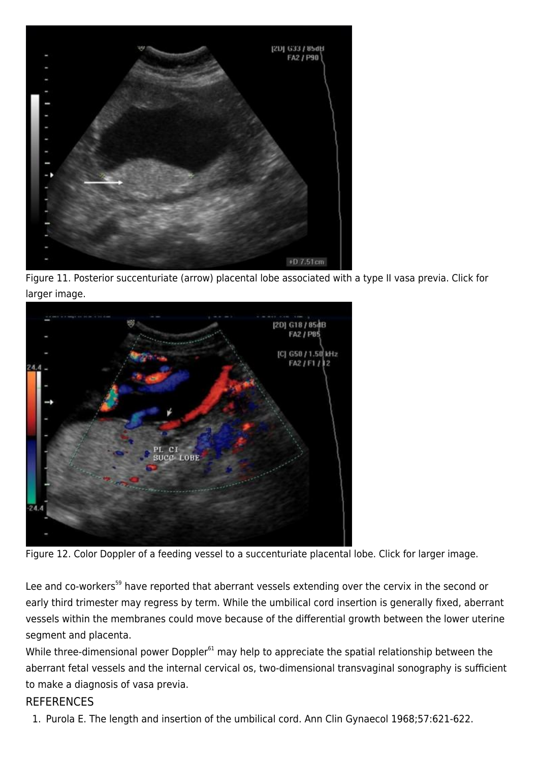

Figure 11. Posterior succenturiate (arrow) placental lobe associated with a type II vasa previa. Click for larger image.



Figure 12. Color Doppler of a feeding vessel to a succenturiate placental lobe. Click for larger image.

Lee and co-workers<sup>59</sup> have reported that aberrant vessels extending over the cervix in the second or early third trimester may regress by term. While the umbilical cord insertion is generally fixed, aberrant vessels within the membranes could move because of the differential growth between the lower uterine segment and placenta.

While three-dimensional power Doppler<sup>61</sup> may help to appreciate the spatial relationship between the aberrant fetal vessels and the internal cervical os, two-dimensional transvaginal sonography is sufficient to make a diagnosis of vasa previa.

#### **REFERENCES**

1. Purola E. The length and insertion of the umbilical cord. Ann Clin Gynaecol 1968;57:621-622.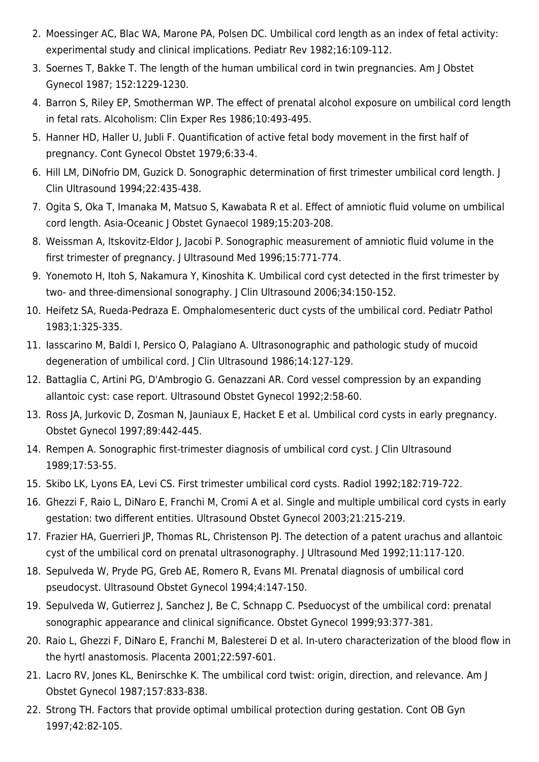- 2. Moessinger AC, Blac WA, Marone PA, Polsen DC. Umbilical cord length as an index of fetal activity: experimental study and clinical implications. Pediatr Rev 1982;16:109-112.
- 3. Soernes T, Bakke T. The length of the human umbilical cord in twin pregnancies. Am J Obstet Gynecol 1987; 152:1229-1230.
- 4. Barron S, Riley EP, Smotherman WP. The effect of prenatal alcohol exposure on umbilical cord length in fetal rats. Alcoholism: Clin Exper Res 1986;10:493-495.
- 5. Hanner HD, Haller U, Jubli F. Quantification of active fetal body movement in the first half of pregnancy. Cont Gynecol Obstet 1979;6:33-4.
- 6. Hill LM, DiNofrio DM, Guzick D. Sonographic determination of first trimester umbilical cord length. J Clin Ultrasound 1994;22:435-438.
- 7. Ogita S, Oka T, Imanaka M, Matsuo S, Kawabata R et al. Effect of amniotic fluid volume on umbilical cord length. Asia-Oceanic J Obstet Gynaecol 1989;15:203-208.
- 8. Weissman A, Itskovitz-Eldor J, Jacobi P. Sonographic measurement of amniotic fluid volume in the first trimester of pregnancy. J Ultrasound Med 1996;15:771-774.
- 9. Yonemoto H, Itoh S, Nakamura Y, Kinoshita K. Umbilical cord cyst detected in the first trimester by two- and three-dimensional sonography. J Clin Ultrasound 2006;34:150-152.
- 10. Heifetz SA, Rueda-Pedraza E. Omphalomesenteric duct cysts of the umbilical cord. Pediatr Pathol 1983;1:325-335.
- 11. Iasscarino M, Baldi I, Persico O, Palagiano A. Ultrasonographic and pathologic study of mucoid degeneration of umbilical cord. J Clin Ultrasound 1986;14:127-129.
- 12. Battaglia C, Artini PG, D'Ambrogio G. Genazzani AR. Cord vessel compression by an expanding allantoic cyst: case report. Ultrasound Obstet Gynecol 1992;2:58-60.
- 13. Ross JA, Jurkovic D, Zosman N, Jauniaux E, Hacket E et al. Umbilical cord cysts in early pregnancy. Obstet Gynecol 1997;89:442-445.
- 14. Rempen A. Sonographic first-trimester diagnosis of umbilical cord cyst. J Clin Ultrasound 1989;17:53-55.
- 15. Skibo LK, Lyons EA, Levi CS. First trimester umbilical cord cysts. Radiol 1992;182:719-722.
- 16. Ghezzi F, Raio L, DiNaro E, Franchi M, Cromi A et al. Single and multiple umbilical cord cysts in early gestation: two different entities. Ultrasound Obstet Gynecol 2003;21:215-219.
- 17. Frazier HA, Guerrieri JP, Thomas RL, Christenson PJ. The detection of a patent urachus and allantoic cyst of the umbilical cord on prenatal ultrasonography. J Ultrasound Med 1992;11:117-120.
- 18. Sepulveda W, Pryde PG, Greb AE, Romero R, Evans MI. Prenatal diagnosis of umbilical cord pseudocyst. Ultrasound Obstet Gynecol 1994;4:147-150.
- 19. Sepulveda W, Gutierrez J, Sanchez J, Be C, Schnapp C. Pseduocyst of the umbilical cord: prenatal sonographic appearance and clinical significance. Obstet Gynecol 1999;93:377-381.
- 20. Raio L, Ghezzi F, DiNaro E, Franchi M, Balesterei D et al. In-utero characterization of the blood flow in the hyrtl anastomosis. Placenta 2001;22:597-601.
- 21. Lacro RV, Jones KL, Benirschke K. The umbilical cord twist: origin, direction, and relevance. Am J Obstet Gynecol 1987;157:833-838.
- 22. Strong TH. Factors that provide optimal umbilical protection during gestation. Cont OB Gyn 1997;42:82-105.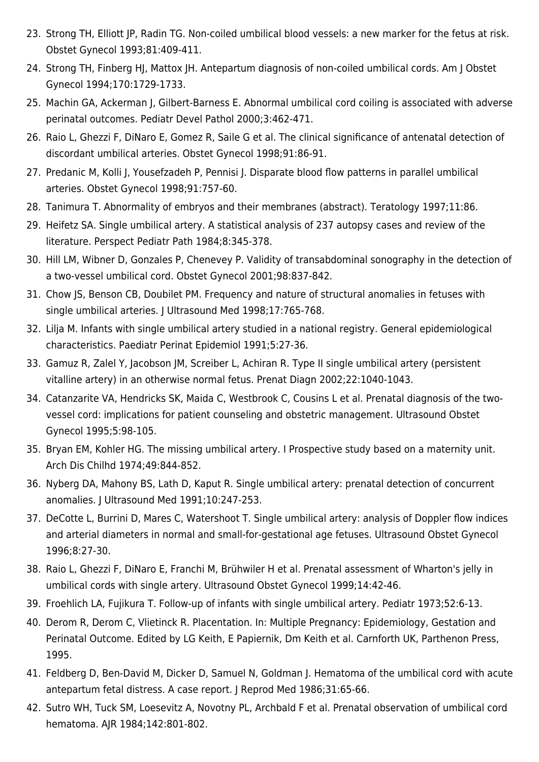- 23. Strong TH, Elliott JP, Radin TG. Non-coiled umbilical blood vessels: a new marker for the fetus at risk. Obstet Gynecol 1993;81:409-411.
- 24. Strong TH, Finberg HJ, Mattox JH. Antepartum diagnosis of non-coiled umbilical cords. Am J Obstet Gynecol 1994;170:1729-1733.
- 25. Machin GA, Ackerman J, Gilbert-Barness E. Abnormal umbilical cord coiling is associated with adverse perinatal outcomes. Pediatr Devel Pathol 2000;3:462-471.
- 26. Raio L, Ghezzi F, DiNaro E, Gomez R, Saile G et al. The clinical significance of antenatal detection of discordant umbilical arteries. Obstet Gynecol 1998;91:86-91.
- 27. Predanic M, Kolli J, Yousefzadeh P, Pennisi J. Disparate blood flow patterns in parallel umbilical arteries. Obstet Gynecol 1998;91:757-60.
- 28. Tanimura T. Abnormality of embryos and their membranes (abstract). Teratology 1997;11:86.
- 29. Heifetz SA. Single umbilical artery. A statistical analysis of 237 autopsy cases and review of the literature. Perspect Pediatr Path 1984;8:345-378.
- 30. Hill LM, Wibner D, Gonzales P, Chenevey P. Validity of transabdominal sonography in the detection of a two-vessel umbilical cord. Obstet Gynecol 2001;98:837-842.
- 31. Chow JS, Benson CB, Doubilet PM. Frequency and nature of structural anomalies in fetuses with single umbilical arteries. J Ultrasound Med 1998;17:765-768.
- 32. Lilja M. Infants with single umbilical artery studied in a national registry. General epidemiological characteristics. Paediatr Perinat Epidemiol 1991;5:27-36.
- 33. Gamuz R, Zalel Y, Jacobson JM, Screiber L, Achiran R. Type II single umbilical artery (persistent vitalline artery) in an otherwise normal fetus. Prenat Diagn 2002;22:1040-1043.
- 34. Catanzarite VA, Hendricks SK, Maida C, Westbrook C, Cousins L et al. Prenatal diagnosis of the twovessel cord: implications for patient counseling and obstetric management. Ultrasound Obstet Gynecol 1995;5:98-105.
- 35. Bryan EM, Kohler HG. The missing umbilical artery. I Prospective study based on a maternity unit. Arch Dis Chilhd 1974;49:844-852.
- 36. Nyberg DA, Mahony BS, Lath D, Kaput R. Single umbilical artery: prenatal detection of concurrent anomalies. J Ultrasound Med 1991;10:247-253.
- 37. DeCotte L, Burrini D, Mares C, Watershoot T. Single umbilical artery: analysis of Doppler flow indices and arterial diameters in normal and small-for-gestational age fetuses. Ultrasound Obstet Gynecol 1996;8:27-30.
- 38. Raio L, Ghezzi F, DiNaro E, Franchi M, Brühwiler H et al. Prenatal assessment of Wharton's jelly in umbilical cords with single artery. Ultrasound Obstet Gynecol 1999;14:42-46.
- 39. Froehlich LA, Fujikura T. Follow-up of infants with single umbilical artery. Pediatr 1973;52:6-13.
- 40. Derom R, Derom C, Vlietinck R. Placentation. In: Multiple Pregnancy: Epidemiology, Gestation and Perinatal Outcome. Edited by LG Keith, E Papiernik, Dm Keith et al. Carnforth UK, Parthenon Press, 1995.
- 41. Feldberg D, Ben-David M, Dicker D, Samuel N, Goldman J. Hematoma of the umbilical cord with acute antepartum fetal distress. A case report. J Reprod Med 1986;31:65-66.
- 42. Sutro WH, Tuck SM, Loesevitz A, Novotny PL, Archbald F et al. Prenatal observation of umbilical cord hematoma. AJR 1984;142:801-802.